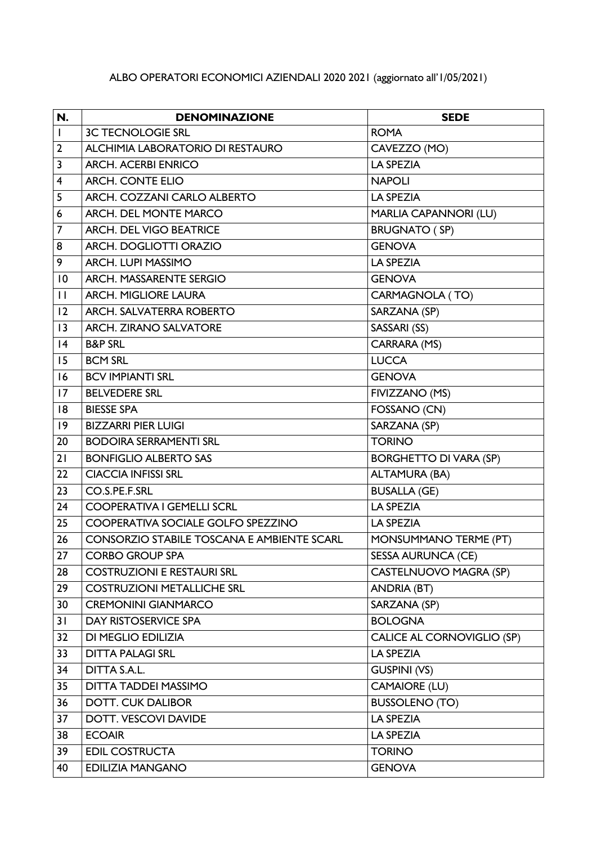## ALBO OPERATORI ECONOMICI AZIENDALI 2020 2021 (aggiornato all'1/05/2021)

| N.                      | <b>DENOMINAZIONE</b>                              | <b>SEDE</b>                   |
|-------------------------|---------------------------------------------------|-------------------------------|
| $\mathbf{I}$            | <b>3C TECNOLOGIE SRL</b>                          | <b>ROMA</b>                   |
| $\mathbf{2}$            | <b>ALCHIMIA LABORATORIO DI RESTAURO</b>           | CAVEZZO (MO)                  |
| $\overline{\mathbf{3}}$ | <b>ARCH. ACERBI ENRICO</b>                        | <b>LA SPEZIA</b>              |
| $\overline{4}$          | <b>ARCH. CONTE ELIO</b>                           | <b>NAPOLI</b>                 |
| 5                       | ARCH. COZZANI CARLO ALBERTO                       | <b>LA SPEZIA</b>              |
| $\boldsymbol{6}$        | <b>ARCH. DEL MONTE MARCO</b>                      | MARLIA CAPANNORI (LU)         |
| $\overline{7}$          | <b>ARCH. DEL VIGO BEATRICE</b>                    | <b>BRUGNATO (SP)</b>          |
| 8                       | ARCH. DOGLIOTTI ORAZIO                            | <b>GENOVA</b>                 |
| 9                       | <b>ARCH. LUPI MASSIMO</b>                         | <b>LA SPEZIA</b>              |
| 0                       | ARCH. MASSARENTE SERGIO                           | <b>GENOVA</b>                 |
| $\mathbf{H}$            | <b>ARCH. MIGLIORE LAURA</b>                       | CARMAGNOLA (TO)               |
| 12                      | <b>ARCH. SALVATERRA ROBERTO</b>                   | SARZANA (SP)                  |
| 3                       | <b>ARCH. ZIRANO SALVATORE</b>                     | SASSARI (SS)                  |
| 4                       | <b>B&amp;P SRL</b>                                | CARRARA (MS)                  |
| 15                      | <b>BCM SRL</b>                                    | <b>LUCCA</b>                  |
| 16                      | <b>BCV IMPIANTI SRL</b>                           | <b>GENOVA</b>                 |
| 17                      | <b>BELVEDERE SRL</b>                              | FIVIZZANO (MS)                |
| 8                       | <b>BIESSE SPA</b>                                 | FOSSANO (CN)                  |
| 9                       | <b>BIZZARRI PIER LUIGI</b>                        | SARZANA (SP)                  |
| 20                      | <b>BODOIRA SERRAMENTI SRL</b>                     | <b>TORINO</b>                 |
| 21                      | <b>BONFIGLIO ALBERTO SAS</b>                      | <b>BORGHETTO DI VARA (SP)</b> |
| 22                      | <b>CIACCIA INFISSI SRL</b>                        | <b>ALTAMURA (BA)</b>          |
| $\overline{23}$         | CO.S.PE.F.SRL                                     | <b>BUSALLA (GE)</b>           |
| 24                      | <b>COOPERATIVA I GEMELLI SCRL</b>                 | <b>LA SPEZIA</b>              |
| 25                      | COOPERATIVA SOCIALE GOLFO SPEZZINO                | <b>LA SPEZIA</b>              |
| 26                      | <b>CONSORZIO STABILE TOSCANA E AMBIENTE SCARL</b> | MONSUMMANO TERME (PT)         |
| 27                      | <b>CORBO GROUP SPA</b>                            | <b>SESSA AURUNCA (CE)</b>     |
| 28                      | <b>COSTRUZIONI E RESTAURI SRL</b>                 | CASTELNUOVO MAGRA (SP)        |
| 29                      | <b>COSTRUZIONI METALLICHE SRL</b>                 | <b>ANDRIA (BT)</b>            |
| 30                      | <b>CREMONINI GIANMARCO</b>                        | SARZANA (SP)                  |
| 31                      | DAY RISTOSERVICE SPA                              | <b>BOLOGNA</b>                |
| 32                      | DI MEGLIO EDILIZIA                                | CALICE AL CORNOVIGLIO (SP)    |
| 33                      | <b>DITTA PALAGI SRL</b>                           | <b>LA SPEZIA</b>              |
| 34                      | DITTA S.A.L.                                      | <b>GUSPINI (VS)</b>           |
| 35                      | <b>DITTA TADDEI MASSIMO</b>                       | <b>CAMAIORE (LU)</b>          |
| 36                      | <b>DOTT. CUK DALIBOR</b>                          | <b>BUSSOLENO (TO)</b>         |
| 37                      | DOTT. VESCOVI DAVIDE                              | LA SPEZIA                     |
| 38                      | <b>ECOAIR</b>                                     | LA SPEZIA                     |
| 39                      | <b>EDIL COSTRUCTA</b>                             | <b>TORINO</b>                 |
| 40                      | <b>EDILIZIA MANGANO</b>                           | <b>GENOVA</b>                 |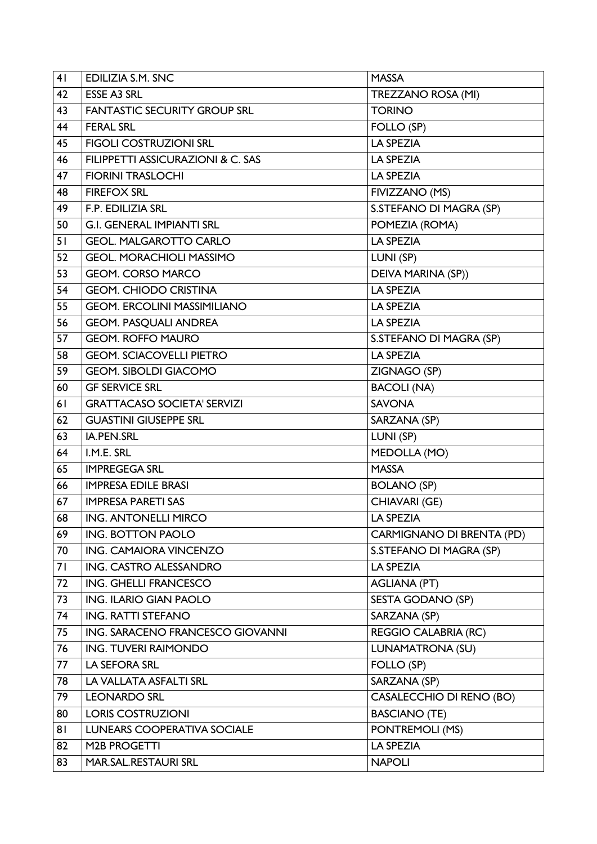| 41 | <b>EDILIZIA S.M. SNC</b>            | <b>MASSA</b>                    |
|----|-------------------------------------|---------------------------------|
| 42 | <b>ESSE A3 SRL</b>                  | TREZZANO ROSA (MI)              |
| 43 | <b>FANTASTIC SECURITY GROUP SRL</b> | <b>TORINO</b>                   |
| 44 | <b>FERAL SRL</b>                    | FOLLO (SP)                      |
| 45 | <b>FIGOLI COSTRUZIONI SRL</b>       | <b>LA SPEZIA</b>                |
| 46 | FILIPPETTI ASSICURAZIONI & C. SAS   | <b>LA SPEZIA</b>                |
| 47 | <b>FIORINI TRASLOCHI</b>            | LA SPEZIA                       |
| 48 | <b>FIREFOX SRL</b>                  | FIVIZZANO (MS)                  |
| 49 | F.P. EDILIZIA SRL                   | S.STEFANO DI MAGRA (SP)         |
| 50 | <b>G.I. GENERAL IMPIANTI SRL</b>    | POMEZIA (ROMA)                  |
| 51 | <b>GEOL. MALGAROTTO CARLO</b>       | LA SPEZIA                       |
| 52 | <b>GEOL. MORACHIOLI MASSIMO</b>     | LUNI (SP)                       |
| 53 | <b>GEOM. CORSO MARCO</b>            | DEIVA MARINA (SP))              |
| 54 | <b>GEOM. CHIODO CRISTINA</b>        | <b>LA SPEZIA</b>                |
| 55 | <b>GEOM. ERCOLINI MASSIMILIANO</b>  | LA SPEZIA                       |
| 56 | <b>GEOM. PASQUALI ANDREA</b>        | <b>LA SPEZIA</b>                |
| 57 | <b>GEOM. ROFFO MAURO</b>            | S.STEFANO DI MAGRA (SP)         |
| 58 | <b>GEOM. SCIACOVELLI PIETRO</b>     | LA SPEZIA                       |
| 59 | <b>GEOM. SIBOLDI GIACOMO</b>        | ZIGNAGO (SP)                    |
| 60 | <b>GF SERVICE SRL</b>               | <b>BACOLI (NA)</b>              |
| 61 | <b>GRATTACASO SOCIETA' SERVIZI</b>  | <b>SAVONA</b>                   |
| 62 | <b>GUASTINI GIUSEPPE SRL</b>        | SARZANA (SP)                    |
| 63 | IA.PEN.SRL                          | LUNI (SP)                       |
| 64 | I.M.E. SRL                          | MEDOLLA (MO)                    |
| 65 | <b>IMPREGEGA SRL</b>                | <b>MASSA</b>                    |
| 66 | <b>IMPRESA EDILE BRASI</b>          | <b>BOLANO (SP)</b>              |
| 67 | <b>IMPRESA PARETI SAS</b>           | CHIAVARI (GE)                   |
| 68 | <b>ING. ANTONELLI MIRCO</b>         | <b>LA SPEZIA</b>                |
| 69 | <b>ING. BOTTON PAOLO</b>            | CARMIGNANO DI BRENTA (PD)       |
| 70 | ING. CAMAIORA VINCENZO              | S.STEFANO DI MAGRA (SP)         |
| 71 | ING. CASTRO ALESSANDRO              | LA SPEZIA                       |
| 72 | <b>ING. GHELLI FRANCESCO</b>        | <b>AGLIANA (PT)</b>             |
| 73 | <b>ING. ILARIO GIAN PAOLO</b>       | <b>SESTA GODANO (SP)</b>        |
| 74 | <b>ING. RATTI STEFANO</b>           | SARZANA (SP)                    |
| 75 | ING. SARACENO FRANCESCO GIOVANNI    | <b>REGGIO CALABRIA (RC)</b>     |
| 76 | <b>ING. TUVERI RAIMONDO</b>         | <b>LUNAMATRONA (SU)</b>         |
| 77 | <b>LA SEFORA SRL</b>                | FOLLO (SP)                      |
| 78 | LA VALLATA ASFALTI SRL              | SARZANA (SP)                    |
| 79 | <b>LEONARDO SRL</b>                 | <b>CASALECCHIO DI RENO (BO)</b> |
| 80 | <b>LORIS COSTRUZIONI</b>            | <b>BASCIANO (TE)</b>            |
| 81 | <b>LUNEARS COOPERATIVA SOCIALE</b>  | PONTREMOLI (MS)                 |
| 82 | M2B PROGETTI                        | LA SPEZIA                       |
| 83 | MAR.SAL.RESTAURI SRL                | <b>NAPOLI</b>                   |